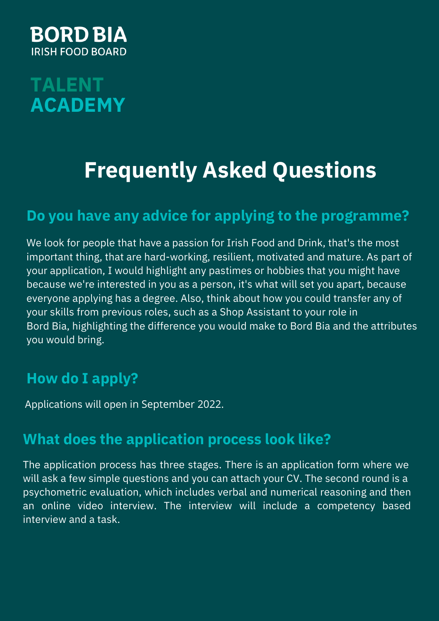

# **TALENT ACADEMY**

# **Frequently Asked Questions**

#### **Do you have any advice for applying to the programme?**

We look for people that have a passion for Irish Food and Drink, that's the most important thing, that are hard-working, resilient, motivated and mature. As part of your application, I would highlight any pastimes or hobbies that you might have because we're interested in you as a person, it's what will set you apart, because everyone applying has a degree. Also, think about how you could transfer any of your skills from previous roles, such as a Shop Assistant to your role in Bord Bia, highlighting the difference you would make to Bord Bia and the attributes you would bring.

# **How do I apply?**

Applications will open in September 2022.

## **What does the application process look like?**

The application process has three stages. There is an application form where we will ask a few simple questions and you can attach your CV. The second round is a psychometric evaluation, which includes verbal and numerical reasoning and then an online video interview. The interview will include a competency based interview and a task.